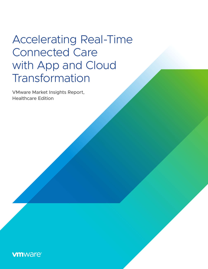# Accelerating Real-Time Connected Care with App and Cloud Transformation

VMware Market Insights Report, Healthcare Edition

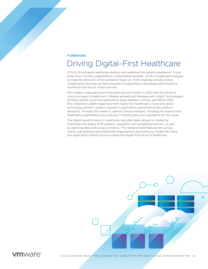### **FOREWORD**

### Driving Digital-First Healthcare

COVID-19 reshaped healthcare delivery and redefined the patient experience. In just a few short months, organizations implemented decades' worth of digital technologies to meet the demands of the pandemic head-on—from enabling remote clinical collaboration and pop-up field hospitals to supporting a distributed administrative workforce and secure virtual services.

For a better understanding of the plans put into motion in 2020 and the future of cloud and apps in healthcare, VMware worked with Management Insight Technologies to field a global cloud and applications study between January and March 2021. We collected in-depth responses from nearly 100 healthcare C-suite and senior technology decision-makers involved in application and infrastructure platform decisions. Through this research, specific trends emerged, including the reasons why healthcare organizations are evolving IT infrastructure and operations for the cloud.

The digital transformation in healthcare has often been slowed or stalled by challenges like legacy EHR systems, regulatory and compliance barriers, as well as adjoining data and privacy concerns. This research brief features the survey results and explores how healthcare organizations are looking to modernize cloud and application infrastructure to create the digital-first future of healthcare.



**vm**ware<sup>®</sup>

ACCELERATING REAL-TIME CONNECTED CARE WITH APP AND CLOUD TRANSFORMATION | **2**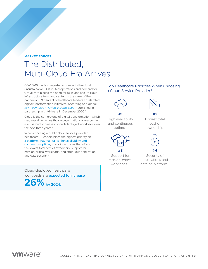### **MARKET FORCES**

## The Distributed, Multi-Cloud Era Arrives

COVID-19 made complete resistance to the cloud unsustainable. Distributed operations and demand for virtual care placed the need for agile and secure cloud infrastructure front and center. In the wake of the pandemic, 89 percent of healthcare leaders accelerated digital transformation initiatives, according to a global *[MIT Technology Review Insights report](https://www.vmware.com/content/dam/digitalmarketing/vmware/en/pdf/microsites/cio-vantage/vmware-mit-executive-study-healthcare.pdf)* published in partnership with VMware in December 2020.<sup>1</sup>

Cloud is the cornerstone of digital transformation, which may explain why healthcare organizations are expecting a 26 percent increase in cloud-deployed workloads over the next three years.<sup>2</sup>

When choosing a public cloud service provider, healthcare IT leaders place the highest priority on a platform that maintains high availability and continuous uptime, in addition to one that offers the lowest total cost of ownership, support for mission-critical workloads, and strenuous application and data security.3

Cloud-deployed healthcare workloads are **expected to increase** 26% by 2024.<sup>2</sup>

### Top Healthcare Priorities When Choosing a Cloud Service Provider<sup>3</sup>



High availability and continuous uptime

**#1**



Support for mission-critical workloads



Lowest total cost of ownership

**#2**



Security of applications and data on platform

**#4**

### *m*ware<sup>®</sup>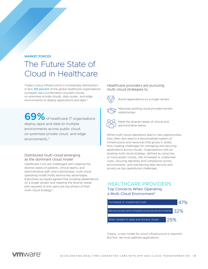#### **MARKET FORCES**

## The Future State of Cloud in Healthcare

Today's cloud infrastructure is increasingly distributed in fact, 69 percent of the global healthcare organizations surveyed use a combination of public clouds, on-premises private clouds, data center, and edge environments to deploy applications and data.<sup>2</sup>

**69%** of healthcare IT organizations deploy apps and data to multiple environments across public cloud, on-premises private cloud, and edge environments.2

#### Distributed multi-cloud emerging as the dominant cloud model

Healthcare CIOs are challenged with meeting the diverse needs of patients, clinical teams, and administrative staff, and a distributed, multi-cloud operating model holds several key advantages. Executives surveyed agreed that avoiding dependence on a single vendor and meeting the diverse needs and requests of end users are top drivers of their multi-cloud strategy.4

#### Healthcare providers are pursuing multi-cloud strategies to



Avoid dependence on a single vendor



 Maximize existing cloud provider/vendor relationships



 Meet the diverse needs of clinical and administrative teams

While multi-cloud operations lead to new opportunities, they often also lead to a decentralized system of infrastructure and resources that grows in siloes, thus creating challenges for managing and securing applications across clouds. Organizations with an existing multi-cloud strategy, defined as using two or more public clouds, cite increased or unplanned costs, securing identities and compliance across environments, and maintaining data security and privacy as top operational challenges.

HEALTHCARE PROVIDERS Top Concerns When Operating a Multi-Cloud Environment 5



Clearly, a new model for cloud infrastructure is required. But first, we must address applications.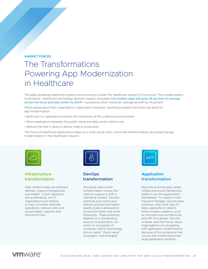#### **MARKET FORCES**

## The Transformations Powering App Modernization in Healthcare

The apps powering healthcare systems are evolving to power the healthcare delivery of tomorrow. This modernization is pervasive—healthcare technology decision-makers anticipate that modern apps will grow 34 percent on average across the cloud and data center by 2024<sup>2</sup>—surpassing other industries' average growth by 14 percent.

When asked about their organization's application initiatives, healthcare leaders cite three top goals for app modernization:

- Build and run applications without the constraints of the underlying environment
- Move applications between the public cloud and data center without risk
- Reduce the time it takes to deliver code to production

The future of healthcare applications aligns to a multi-cloud vision, and three transformations are powering app modernization in the healthcare industry:



### **Infrastructure transformation**

Data centers today are softwaredefined, hyperconverged and automated. Cloud migrations are accelerating, and IT organizations are looking at ways to further optimize operations, reduce costs and access elastic capacity with minimal friction.



### **DevOps transformation**

Alongside data center transformation comes the need to support a shift in operating models. DevOps practices and continuous delivery ensure that higherquality code is delivered to production faster and more frequently. These practices depend on a tremendous amount of automation, for which an ecosystem of container-centric technology, the so-called "cloud native" ecosystem, has emerged.



### **Application transformation**

Atop the evolving data center infrastructure and DevSecOps platform are the applications themselves. To support more frequent changes, security best practices, and novel uses of data, applications need to follow modern patterns, such as microservices architectures and API-first design. But this is easier said than done. Many organizations are struggling with application modernization because of the complexity that comes with modernizing their large application portfolio.

### *mware*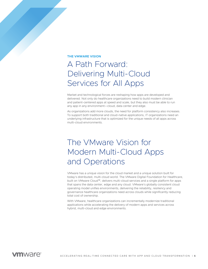#### **THE VMWARE VISION**

## A Path Forward: Delivering Multi-Cloud Services for All Apps

Market and technological forces are reshaping how apps are developed and delivered. Not only do healthcare organizations need to build modern clinician and patient-centered apps at speed and scale, but they also must be able to run any app in any environment—cloud, data center and edge.

As organizations add more clouds, the need for platform consistency also increases. To support both traditional and cloud-native applications, IT organizations need an underlying infrastructure that is optimized for the unique needs of all apps across multi-cloud environments.

## The VMware Vision for Modern Multi-Cloud Apps and Operations

VMware has a unique vision for the cloud market and a unique solution built for today's distributed, multi-cloud world. The VMware Digital Foundation for Healthcare, built on VMware Cloud™, delivers multi-cloud services and a single platform for apps that spans the data center, edge and any cloud. VMware's globally consistent cloud operating model unifies environments, delivering the reliability, resiliency and governance healthcare organizations need across clouds while significantly reducing total cost of ownership.

With VMware, healthcare organizations can incrementally modernize traditional applications while accelerating the delivery of modern apps and services across hybrid, multi-cloud and edge environments.

### **vm**ware<sup>®</sup>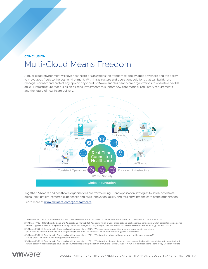### **CONCLUSION** Multi-Cloud Means Freedom

A multi-cloud environment will give healthcare organizations the freedom to deploy apps anywhere and the ability to move apps freely to the best environment. With infrastructure and operations solutions that can build, run, manage, connect and protect any app on any cloud, VMware enables healthcare organizations to operate a flexible, agile IT infrastructure that builds on existing investments to support new care models, regulatory requirements, and the future of healthcare delivery.



Together, VMware and healthcare organizations are transforming IT and application strategies to safely accelerate digital-first, patient-centered experiences and build innovation, agility and resiliency into the core of the organization.

Learn more at **[www.vmware.com/go/healthcare](http://www.vmware.com/go/healthcare)**.

<sup>5</sup> VMware FY22 H1 Benchmark, Cloud and Applications, March 2021. "What are the biggest obstacles to achieving the benefits associated with a multi-cloud future state? What challenges have you encountered regarding utilization of multiple Public Clouds?" N=36 Global Healthcare Technology Decision Makers



<sup>1</sup> VMware & MIT Technology Review Insights. "MIT Executive Study Uncovers Top Healthcare Trends Shaping IT Resilience." December 2020.

<sup>2</sup> VMware FY22 H1 Benchmark, Cloud and Applications, March 2021. "Considering all of your organization's applications, approximately what percentage is deployed on each type of Infrastructure platform today? What percentage mix do you expect in three years?" N=83 Global Healthcare Technology Decision Makers

<sup>3</sup> VMware FY22 H1 Benchmark, Cloud and Applications, March 2021. "Which of these capabilities are most important in selecting a [multi-cloud] infrastructure platform for your organization?" N=36 Global Healthcare Technology Decision Makers

<sup>4</sup> VMware FY22 H1 Benchmark, Cloud and Applications, March 2021. "What are the primary drivers for your multi-cloud strategy?" N=36 Global Healthcare Technology Decision Makers